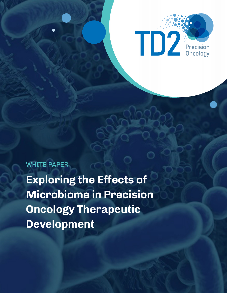

WHITE PAPER

**Exploring the Effects of Microbiome in Precision Oncology Therapeutic Development**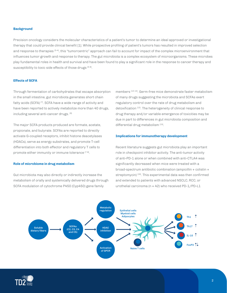### **Background**

Precision oncology considers the molecular characteristics of a patient's tumor to determine an ideal approved or investigational therapy that could provide clinical benefit [1]. While prospective profiling of patient's tumors has resulted in improved selection and response to therapies [2–4], this "tumorcentric" approach can fail to account for impact of the complex microenvironment that influences tumor growth and response to therapy. The gut microbiota is a complex ecosystem of microorganisms. These microbes play fundamental roles in health and survival and have been found to play a significant role in the response to cancer therapy and susceptibility to toxic side effects of those drugs [5-6].

## **Effects of SCFA**

Through fermentation of carbohydrates that escape absorption in the small intestine, gut microbiota generates short chain fatty acids (SCFA)<sup>[7]</sup>. SCFA have a wide range of activity and have been reported to actively metabolize more than 40 drugs, including several anti-cancer drugs. [9]

The major SCFA products produced are formate, acetate, propionate, and butyrate. SCFAs are reported to directly activate G-coupled receptors, inhibit histone deacetylases (HDACs), serve as energy substrates, and promote T-cell differentiation into both effector and regulatory T cells to promote either immunity or immune tolerance [7-8].

#### **Role of microbiome in drug metabolism**

Gut microbiota may also directly or indirectly increase the metabolism of orally and systemically delivered drugs through SCFA modulation of cytochrome P450 (Cyp450) gene family

members [12-14]. Germ-free mice demonstrate faster metabolism of many drugs suggesting the microbiota and SCFAs exert regulatory control over the rate of drug metabolism and detoxification <a>[12]</a>. The heterogeneity of clinical response to drug therapy and/or variable emergence of toxicities may be due in part to differences in gut microbiota composition and differential drug metabolism [15].

# **Implications for immunotherapy development**

Recent literature suggests gut microbiota play an important role in checkpoint inhibitor activity. The anti-tumor activity of anti-PD-1 alone or when combined with anti-CTLA4 was significantly decreased when mice were treated with a broad-spectrum antibiotic combination (ampicillin + colistin + streptomycin)<sup>[16]</sup>. This experimental data was then confirmed and extended to patients with advanced NSCLC, RCC, or urothelial carcinoma ( $n = 42$ ) who received PD-1/PD-L1